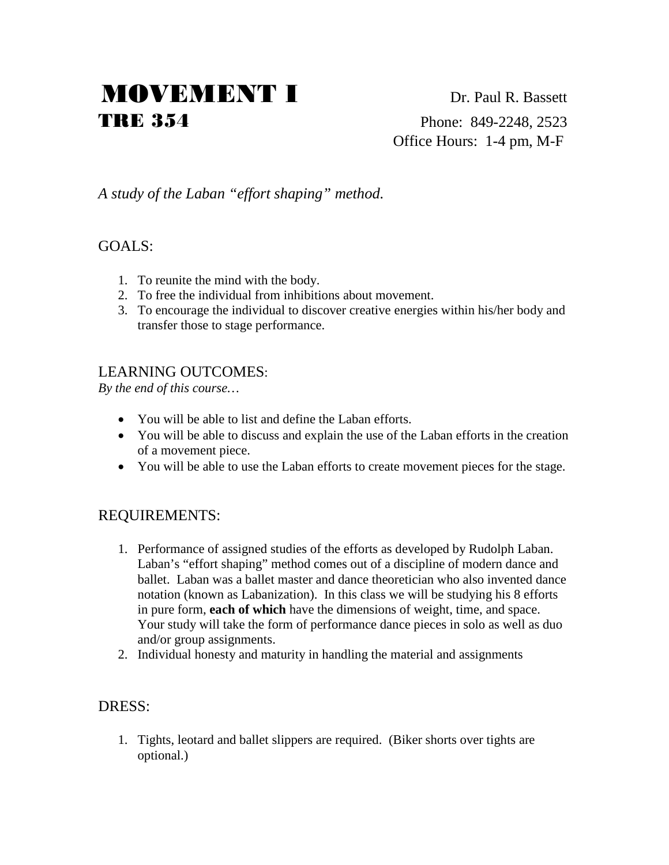# MOVEMENT I Dr. Paul R. Bassett TRE 354 Phone: 849-2248, 2523

Office Hours: 1-4 pm, M-F

# *A study of the Laban "effort shaping" method.*

#### GOALS:

- 1. To reunite the mind with the body.
- 2. To free the individual from inhibitions about movement.
- 3. To encourage the individual to discover creative energies within his/her body and transfer those to stage performance.

## LEARNING OUTCOMES:

*By the end of this course…*

- You will be able to list and define the Laban efforts.
- You will be able to discuss and explain the use of the Laban efforts in the creation of a movement piece.
- You will be able to use the Laban efforts to create movement pieces for the stage.

#### REQUIREMENTS:

- 1. Performance of assigned studies of the efforts as developed by Rudolph Laban. Laban's "effort shaping" method comes out of a discipline of modern dance and ballet. Laban was a ballet master and dance theoretician who also invented dance notation (known as Labanization). In this class we will be studying his 8 efforts in pure form, **each of which** have the dimensions of weight, time, and space. Your study will take the form of performance dance pieces in solo as well as duo and/or group assignments.
- 2. Individual honesty and maturity in handling the material and assignments

#### DRESS:

1. Tights, leotard and ballet slippers are required. (Biker shorts over tights are optional.)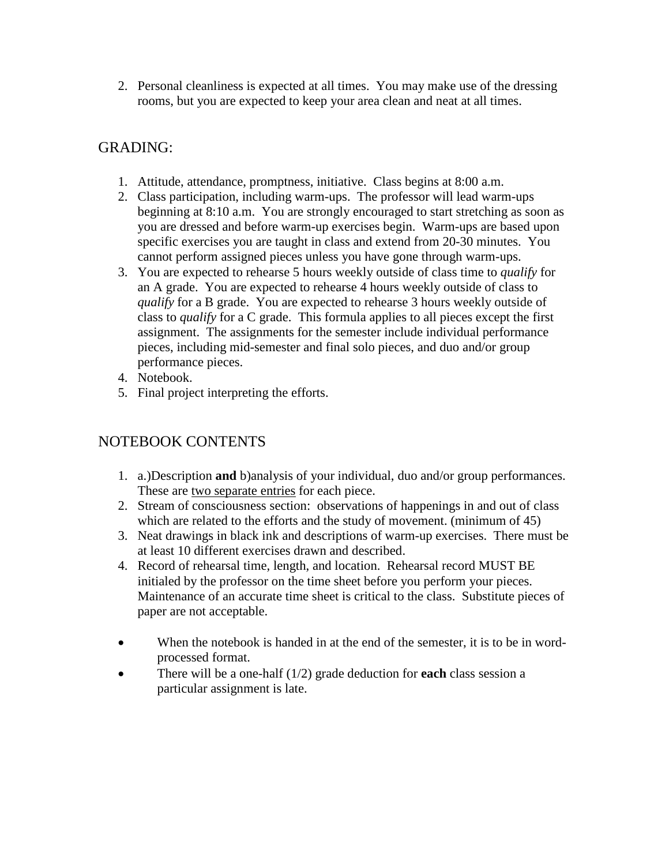2. Personal cleanliness is expected at all times. You may make use of the dressing rooms, but you are expected to keep your area clean and neat at all times.

# GRADING:

- 1. Attitude, attendance, promptness, initiative. Class begins at 8:00 a.m.
- 2. Class participation, including warm-ups. The professor will lead warm-ups beginning at 8:10 a.m. You are strongly encouraged to start stretching as soon as you are dressed and before warm-up exercises begin. Warm-ups are based upon specific exercises you are taught in class and extend from 20-30 minutes. You cannot perform assigned pieces unless you have gone through warm-ups.
- 3. You are expected to rehearse 5 hours weekly outside of class time to *qualify* for an A grade. You are expected to rehearse 4 hours weekly outside of class to *qualify* for a B grade. You are expected to rehearse 3 hours weekly outside of class to *qualify* for a C grade. This formula applies to all pieces except the first assignment. The assignments for the semester include individual performance pieces, including mid-semester and final solo pieces, and duo and/or group performance pieces.
- 4. Notebook.
- 5. Final project interpreting the efforts.

### NOTEBOOK CONTENTS

- 1. a.)Description **and** b)analysis of your individual, duo and/or group performances. These are two separate entries for each piece.
- 2. Stream of consciousness section: observations of happenings in and out of class which are related to the efforts and the study of movement. (minimum of 45)
- 3. Neat drawings in black ink and descriptions of warm-up exercises. There must be at least 10 different exercises drawn and described.
- 4. Record of rehearsal time, length, and location. Rehearsal record MUST BE initialed by the professor on the time sheet before you perform your pieces. Maintenance of an accurate time sheet is critical to the class. Substitute pieces of paper are not acceptable.
- When the notebook is handed in at the end of the semester, it is to be in wordprocessed format.
- There will be a one-half (1/2) grade deduction for **each** class session a particular assignment is late.